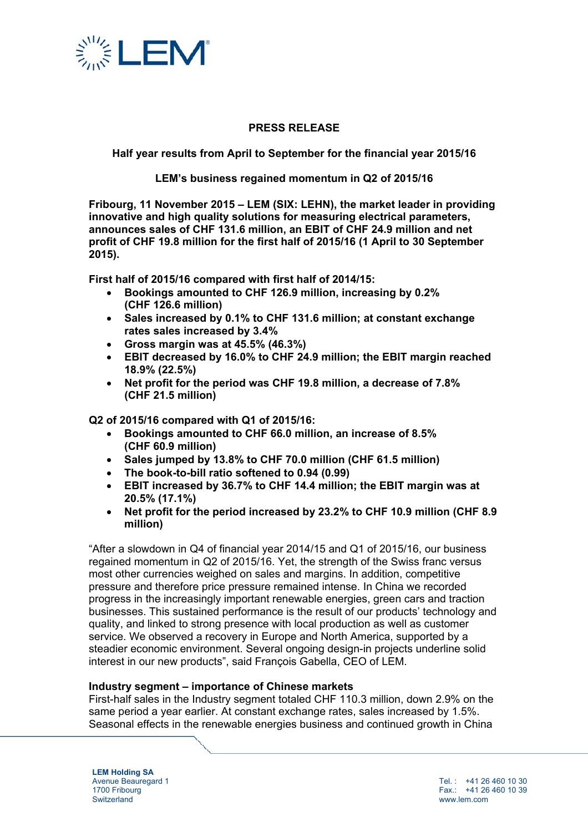

## **PRESS RELEASE**

**Half year results from April to September for the financial year 2015/16** 

**LEM's business regained momentum in Q2 of 2015/16** 

**Fribourg, 11 November 2015 – LEM (SIX: LEHN), the market leader in providing innovative and high quality solutions for measuring electrical parameters, announces sales of CHF 131.6 million, an EBIT of CHF 24.9 million and net profit of CHF 19.8 million for the first half of 2015/16 (1 April to 30 September 2015).** 

**First half of 2015/16 compared with first half of 2014/15:** 

- **Bookings amounted to CHF 126.9 million, increasing by 0.2% (CHF 126.6 million)**
- **Sales increased by 0.1% to CHF 131.6 million; at constant exchange rates sales increased by 3.4%**
- **Gross margin was at 45.5% (46.3%)**
- **EBIT decreased by 16.0% to CHF 24.9 million; the EBIT margin reached 18.9% (22.5%)**
- **Net profit for the period was CHF 19.8 million, a decrease of 7.8% (CHF 21.5 million)**

## **Q2 of 2015/16 compared with Q1 of 2015/16:**

- **Bookings amounted to CHF 66.0 million, an increase of 8.5% (CHF 60.9 million)**
- **Sales jumped by 13.8% to CHF 70.0 million (CHF 61.5 million)**
- **The book-to-bill ratio softened to 0.94 (0.99)**
- **EBIT increased by 36.7% to CHF 14.4 million; the EBIT margin was at 20.5% (17.1%)**
- **Net profit for the period increased by 23.2% to CHF 10.9 million (CHF 8.9 million)**

"After a slowdown in Q4 of financial year 2014/15 and Q1 of 2015/16, our business regained momentum in Q2 of 2015/16. Yet, the strength of the Swiss franc versus most other currencies weighed on sales and margins. In addition, competitive pressure and therefore price pressure remained intense. In China we recorded progress in the increasingly important renewable energies, green cars and traction businesses. This sustained performance is the result of our products' technology and quality, and linked to strong presence with local production as well as customer service. We observed a recovery in Europe and North America, supported by a steadier economic environment. Several ongoing design-in projects underline solid interest in our new products", said François Gabella, CEO of LEM.

#### **Industry segment – importance of Chinese markets**

First-half sales in the Industry segment totaled CHF 110.3 million, down 2.9% on the same period a year earlier. At constant exchange rates, sales increased by 1.5%. Seasonal effects in the renewable energies business and continued growth in China

**LEM Holding SA**  Avenue Beauregard 1 1700 Fribourg **Switzerland** 

Tel. : +41 26 460 10 30 Fax.: +41 26 460 10 39 www.lem.com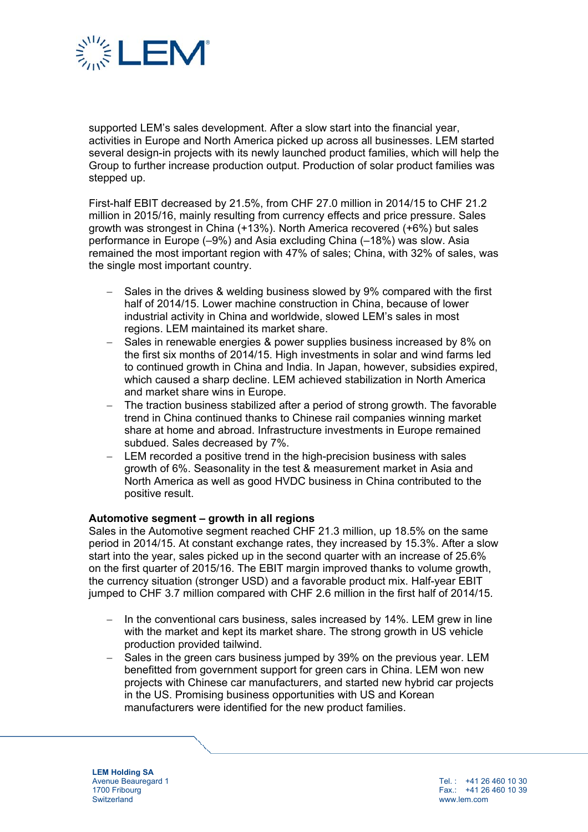

supported LEM's sales development. After a slow start into the financial year, activities in Europe and North America picked up across all businesses. LEM started several design-in projects with its newly launched product families, which will help the Group to further increase production output. Production of solar product families was stepped up.

First-half EBIT decreased by 21.5%, from CHF 27.0 million in 2014/15 to CHF 21.2 million in 2015/16, mainly resulting from currency effects and price pressure. Sales growth was strongest in China (+13%). North America recovered (+6%) but sales performance in Europe (–9%) and Asia excluding China (–18%) was slow. Asia remained the most important region with 47% of sales; China, with 32% of sales, was the single most important country.

- Sales in the drives & welding business slowed by 9% compared with the first half of 2014/15. Lower machine construction in China, because of lower industrial activity in China and worldwide, slowed LEM's sales in most regions. LEM maintained its market share.
- Sales in renewable energies & power supplies business increased by 8% on the first six months of 2014/15. High investments in solar and wind farms led to continued growth in China and India. In Japan, however, subsidies expired, which caused a sharp decline. LEM achieved stabilization in North America and market share wins in Europe.
- The traction business stabilized after a period of strong growth. The favorable trend in China continued thanks to Chinese rail companies winning market share at home and abroad. Infrastructure investments in Europe remained subdued. Sales decreased by 7%.
- LEM recorded a positive trend in the high-precision business with sales growth of 6%. Seasonality in the test & measurement market in Asia and North America as well as good HVDC business in China contributed to the positive result.

## **Automotive segment – growth in all regions**

Sales in the Automotive segment reached CHF 21.3 million, up 18.5% on the same period in 2014/15. At constant exchange rates, they increased by 15.3%. After a slow start into the year, sales picked up in the second quarter with an increase of 25.6% on the first quarter of 2015/16. The EBIT margin improved thanks to volume growth, the currency situation (stronger USD) and a favorable product mix. Half-year EBIT jumped to CHF 3.7 million compared with CHF 2.6 million in the first half of 2014/15.

- In the conventional cars business, sales increased by 14%. LEM grew in line with the market and kept its market share. The strong growth in US vehicle production provided tailwind.
- $-$  Sales in the green cars business jumped by 39% on the previous year. LEM benefitted from government support for green cars in China. LEM won new projects with Chinese car manufacturers, and started new hybrid car projects in the US. Promising business opportunities with US and Korean manufacturers were identified for the new product families.

**LEM Holding SA**  Avenue Beauregard 1 1700 Fribourg **Switzerland**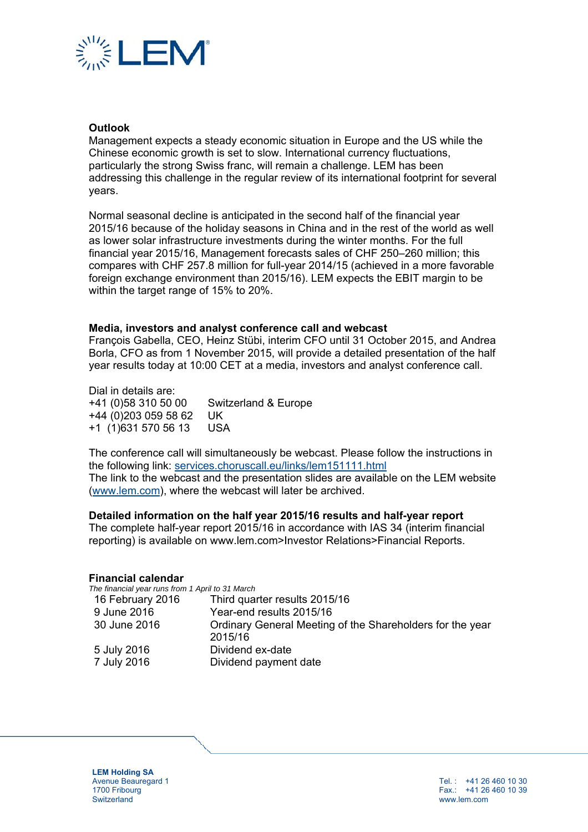

### **Outlook**

Management expects a steady economic situation in Europe and the US while the Chinese economic growth is set to slow. International currency fluctuations, particularly the strong Swiss franc, will remain a challenge. LEM has been addressing this challenge in the regular review of its international footprint for several years.

Normal seasonal decline is anticipated in the second half of the financial year 2015/16 because of the holiday seasons in China and in the rest of the world as well as lower solar infrastructure investments during the winter months. For the full financial year 2015/16, Management forecasts sales of CHF 250–260 million; this compares with CHF 257.8 million for full-year 2014/15 (achieved in a more favorable foreign exchange environment than 2015/16). LEM expects the EBIT margin to be within the target range of 15% to 20%.

#### **Media, investors and analyst conference call and webcast**

François Gabella, CEO, Heinz Stübi, interim CFO until 31 October 2015, and Andrea Borla, CFO as from 1 November 2015, will provide a detailed presentation of the half year results today at 10:00 CET at a media, investors and analyst conference call.

Dial in details are: +41 (0)58 310 50 00 Switzerland & Europe +44 (0)203 059 58 62 UK +1 (1)631 570 56 13 USA

The conference call will simultaneously be webcast. Please follow the instructions in the following link: services.choruscall.eu/links/lem151111.html The link to the webcast and the presentation slides are available on the LEM website (www.lem.com), where the webcast will later be archived.

#### **Detailed information on the half year 2015/16 results and half-year report**

The complete half-year report 2015/16 in accordance with IAS 34 (interim financial reporting) is available on www.lem.com>Investor Relations>Financial Reports.

#### **Financial calendar**

*The financial year runs from 1 April to 31 March* 

| 16 February 2016 | Third quarter results 2015/16                                        |
|------------------|----------------------------------------------------------------------|
| 9 June 2016      | Year-end results 2015/16                                             |
| 30 June 2016     | Ordinary General Meeting of the Shareholders for the year<br>2015/16 |
| 5 July 2016      | Dividend ex-date                                                     |
| 7 July 2016      | Dividend payment date                                                |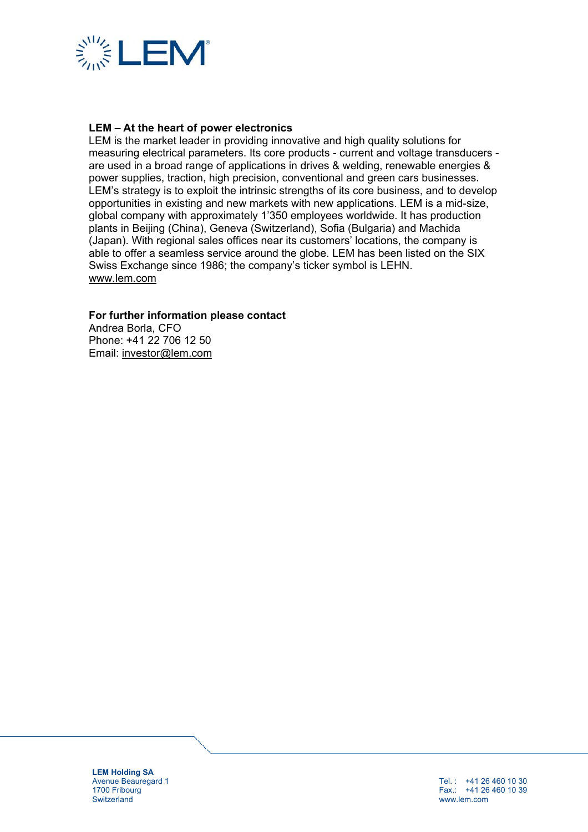

## **LEM – At the heart of power electronics**

LEM is the market leader in providing innovative and high quality solutions for measuring electrical parameters. Its core products - current and voltage transducers are used in a broad range of applications in drives & welding, renewable energies & power supplies, traction, high precision, conventional and green cars businesses. LEM's strategy is to exploit the intrinsic strengths of its core business, and to develop opportunities in existing and new markets with new applications. LEM is a mid-size, global company with approximately 1'350 employees worldwide. It has production plants in Beijing (China), Geneva (Switzerland), Sofia (Bulgaria) and Machida (Japan). With regional sales offices near its customers' locations, the company is able to offer a seamless service around the globe. LEM has been listed on the SIX Swiss Exchange since 1986; the company's ticker symbol is LEHN. www.lem.com

### **For further information please contact**

Andrea Borla, CFO Phone: +41 22 706 12 50 Email: investor@lem.com

**LEM Holding SA**  Avenue Beauregard 1 1700 Fribourg **Switzerland**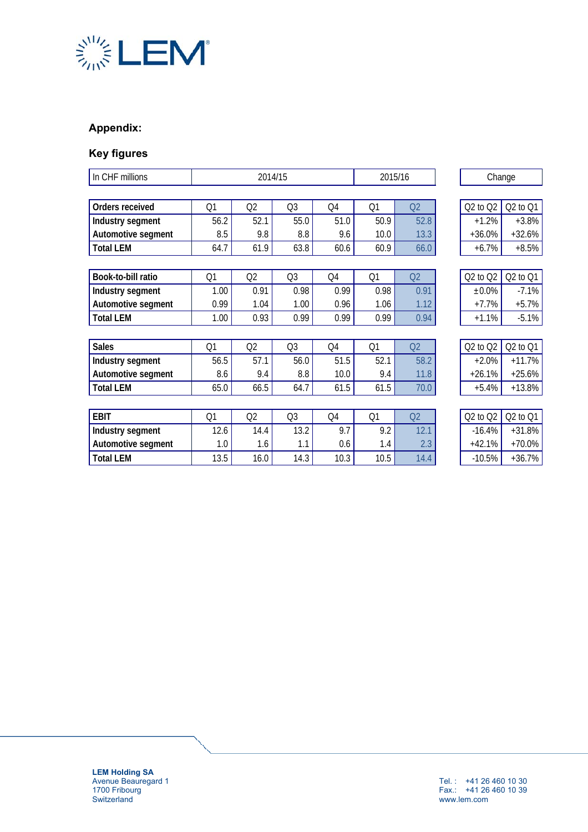

# **Appendix:**

# **Key figures**

| In CHF millions    | 2014/15        |      |                | 2015/16 |      | Change         |              |          |
|--------------------|----------------|------|----------------|---------|------|----------------|--------------|----------|
|                    |                |      |                |         |      |                |              |          |
| Orders received    | Q1             | Q2   | Q <sub>3</sub> | Q4      | Q1   | Q2             | $Q2$ to $Q2$ | Q2 to Q1 |
| Industry segment   | 56.2           | 52.1 | 55.0           | 51.0    | 50.9 | 52.8           | $+1.2%$      | $+3.8%$  |
| Automotive segment | 8.5            | 9.8  | 8.8            | 9.6     | 10.0 | 13.3           | $+36.0%$     | $+32.6%$ |
| <b>Total LEM</b>   | 64.7           | 61.9 | 63.8           | 60.6    | 60.9 | 66.0           | $+6.7%$      | $+8.5%$  |
|                    |                |      |                |         |      |                |              |          |
| Book-to-bill ratio | Q1             | Q2   | Q <sub>3</sub> | Q4      | Q1   | Q2             | $Q2$ to $Q2$ | Q2 to Q1 |
| Industry segment   | 1.00           | 0.91 | 0.98           | 0.99    | 0.98 | 0.91           | $±0.0\%$     | $-7.1%$  |
| Automotive segment | 0.99           | 1.04 | 1.00           | 0.96    | 1.06 | 1.12           | $+7.7%$      | $+5.7%$  |
| <b>Total LEM</b>   | 1.00           | 0.93 | 0.99           | 0.99    | 0.99 | 0.94           | $+1.1%$      | $-5.1%$  |
|                    |                |      |                |         |      |                |              |          |
| <b>Sales</b>       | Q <sub>1</sub> | Q2   | Q <sub>3</sub> | Q4      | Q1   | Q <sub>2</sub> | $Q2$ to $Q2$ | Q2 to Q1 |
| Industry segment   | 56.5           | 57.1 | 56.0           | 51.5    | 52.1 | 58.2           | $+2.0%$      | $+11.7%$ |
| Automotive segment | 8.6            | 9.4  | 8.8            | 10.0    | 9.4  | 11.8           | $+26.1%$     | $+25.6%$ |
| <b>Total LEM</b>   | 65.0           | 66.5 | 64.7           | 61.5    | 61.5 | 70.0           | $+5.4%$      | $+13.8%$ |
|                    |                |      |                |         |      |                |              |          |
| <b>EBIT</b>        | Q <sub>1</sub> | Q2   | Q <sub>3</sub> | Q4      | Q1   | Q2             | $Q2$ to $Q2$ | Q2 to Q1 |
| Industry segment   | 12.6           | 14.4 | 13.2           | 9.7     | 9.2  | 12.1           | $-16.4%$     | $+31.8%$ |
| Automotive segment | 1.0            | 1.6  | 1.1            | 0.6     | 1.4  | 2.3            | $+42.1%$     | $+70.0%$ |
| <b>Total LEM</b>   | 13.5           | 16.0 | 14.3           | 10.3    | 10.5 | 14.4           | $-10.5%$     | $+36.7%$ |